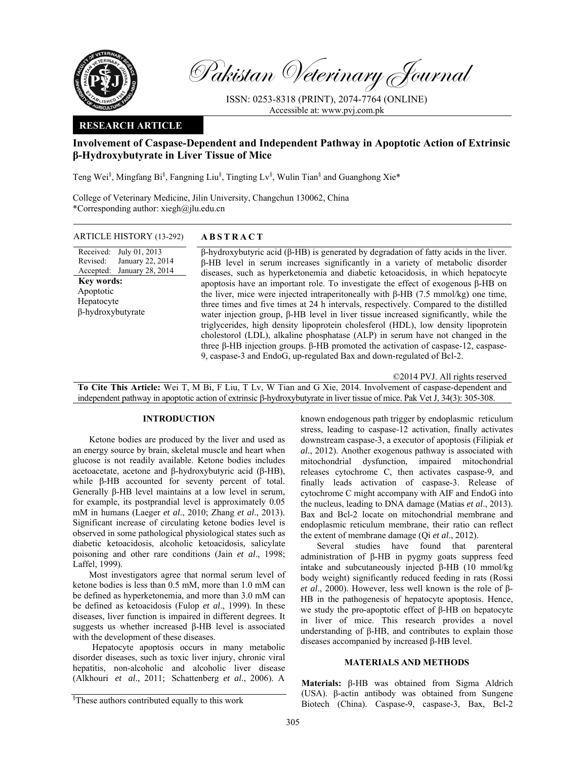

Pakistan Veterinary Journal

ISSN: 0253-8318 (PRINT), 2074-7764 (ONLINE) Accessible at: www.pvj.com.pk

## **RESEARCH ARTICLE**

# **Involvement of Caspase-Dependent and Independent Pathway in Apoptotic Action of Extrinsic β-Hydroxybutyrate in Liver Tissue of Mice**

Teng Wei<sup>§</sup>, Mingfang Bi<sup>§</sup>, Fangning Liu<sup>§</sup>, Tingting Lv<sup>§</sup>, Wulin Tian<sup>§</sup> and Guanghong Xie\*

College of Veterinary Medicine, Jilin University, Changchun 130062, China \*Corresponding author: xiegh@jlu.edu.cn

ARTICLE HISTORY (13-292) **ABSTRACT** 

Received: July 01, 2013 Revised: Accepted: January 22, 2014 January 28, 2014 **Key words:**  Apoptotic Hepatocyte β-hydroxybutyrate

β-hydroxybutyric acid (β-HB) is generated by degradation of fatty acids in the liver. β-HB level in serum increases significantly in a variety of metabolic disorder diseases, such as hyperketonemia and diabetic ketoacidosis, in which hepatocyte apoptosis have an important role. To investigate the effect of exogenous β-HB on the liver, mice were injected intraperitoneally with β-HB (7.5 mmol/kg) one time, three times and five times at 24 h intervals, respectively. Compared to the distilled water injection group, β-HB level in liver tissue increased significantly, while the triglycerides, high density lipoprotein cholesferol (HDL), low density lipoprotein cholestorol (LDL), alkaline phosphatase (ALP) in serum have not changed in the three β-HB injection groups. β-HB promoted the activation of caspase-12, caspase-9, caspase-3 and EndoG, up-regulated Bax and down-regulated of Bcl-2.

©2014 PVJ. All rights reserved

**To Cite This Article:** Wei T, M Bi, F Liu, T Lv, W Tian and G Xie, 2014. Involvement of caspase-dependent and independent pathway in apoptotic action of extrinsic β-hydroxybutyrate in liver tissue of mice. Pak Vet J, 34(3): 305-308.

#### **INTRODUCTION**

Ketone bodies are produced by the liver and used as an energy source by brain, skeletal muscle and heart when glucose is not readily available. Ketone bodies includes acetoacetate, acetone and β-hydroxybutyric acid (β-HB), while β-HB accounted for seventy percent of total. Generally β-HB level maintains at a low level in serum, for example, its postprandial level is approximately 0.05 mM in humans (Laeger *et al*., 2010; Zhang *et al*., 2013). Significant increase of circulating ketone bodies level is observed in some pathological physiological states such as diabetic ketoacidosis, alcoholic ketoacidosis, salicylate poisoning and other rare conditions (Jain *et al*., 1998; Laffel, 1999).

Most investigators agree that normal serum level of ketone bodies is less than 0.5 mM, more than 1.0 mM can be defined as hyperketonemia, and more than 3.0 mM can be defined as ketoacidosis (Fulop *et al*., 1999). In these diseases, liver function is impaired in different degrees. It suggests us whether increased β-HB level is associated with the development of these diseases.

Hepatocyte apoptosis occurs in many metabolic disorder diseases, such as toxic liver injury, chronic viral hepatitis, non-alcoholic and alcoholic liver disease (Alkhouri *et al*., 2011; Schattenberg *et al*., 2006). A

known endogenous path trigger by endoplasmic reticulum stress, leading to caspase-12 activation, finally activates downstream caspase-3, a executor of apoptosis (Filipiak *et al.*, 2012). Another exogenous pathway is associated with mitochondrial dysfunction, impaired mitochondrial releases cytochrome C, then activates caspase-9, and finally leads activation of caspase-3. Release of cytochrome C might accompany with AIF and EndoG into the nucleus, leading to DNA damage (Matias *et al*., 2013). Bax and Bcl-2 locate on mitochondrial membrane and endoplasmic reticulum membrane, their ratio can reflect the extent of membrane damage (Qi *et al*., 2012).

Several studies have found that parenteral administration of β-HB in pygmy goats suppress feed intake and subcutaneously injected β-HB (10 mmol/kg body weight) significantly reduced feeding in rats (Rossi *et al*., 2000). However, less well known is the role of β-HB in the pathogenesis of hepatocyte apoptosis. Hence, we study the pro-apoptotic effect of β-HB on hepatocyte in liver of mice. This research provides a novel understanding of β-HB, and contributes to explain those diseases accompanied by increased β-HB level.

### **MATERIALS AND METHODS**

**Materials:** β-HB was obtained from Sigma Aldrich (USA). β-actin antibody was obtained from Sungene Biotech (China). Caspase-9, caspase-3, Bax, Bcl-2

<sup>§</sup> These authors contributed equally to this work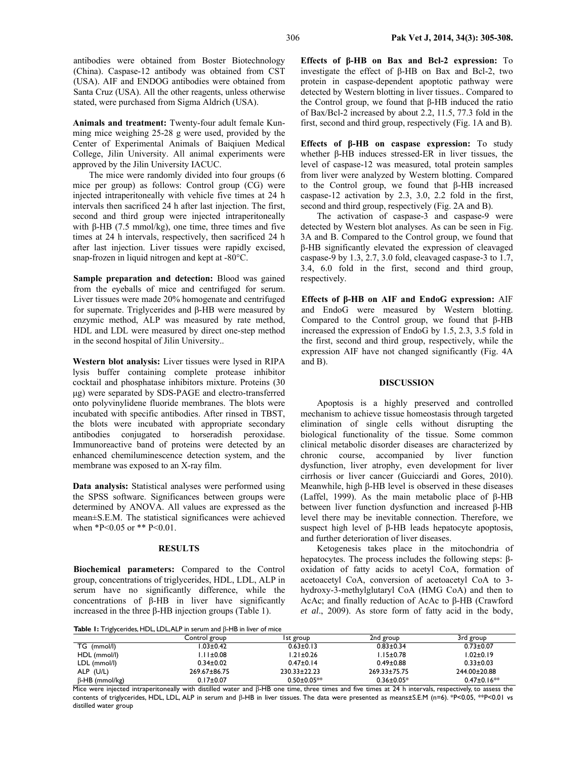antibodies were obtained from Boster Biotechnology (China). Caspase-12 antibody was obtained from CST (USA). AIF and ENDOG antibodies were obtained from Santa Cruz (USA). All the other reagents, unless otherwise stated, were purchased from Sigma Aldrich (USA).

**Animals and treatment:** Twenty-four adult female Kunming mice weighing 25-28 g were used, provided by the Center of Experimental Animals of Baiqiuen Medical College, Jilin University. All animal experiments were approved by the Jilin University IACUC.

The mice were randomly divided into four groups (6 mice per group) as follows: Control group (CG) were injected intraperitoneally with vehicle five times at 24 h intervals then sacrificed 24 h after last injection. The first, second and third group were injected intraperitoneally with β-HB (7.5 mmol/kg), one time, three times and five times at 24 h intervals, respectively, then sacrificed 24 h after last injection. Liver tissues were rapidly excised, snap-frozen in liquid nitrogen and kept at -80°C.

**Sample preparation and detection:** Blood was gained from the eyeballs of mice and centrifuged for serum. Liver tissues were made 20% homogenate and centrifuged for supernate. Triglycerides and β-HB were measured by enzymic method, ALP was measured by rate method, HDL and LDL were measured by direct one-step method in the second hospital of Jilin University..

**Western blot analysis:** Liver tissues were lysed in RIPA lysis buffer containing complete protease inhibitor cocktail and phosphatase inhibitors mixture. Proteins (30 µg) were separated by SDS-PAGE and electro-transferred onto polyvinylidene fluoride membranes. The blots were incubated with specific antibodies. After rinsed in TBST, the blots were incubated with appropriate secondary antibodies conjugated to horseradish peroxidase. Immunoreactive band of proteins were detected by an enhanced chemiluminescence detection system, and the membrane was exposed to an X-ray film.

**Data analysis:** Statistical analyses were performed using the SPSS software. Significances between groups were determined by ANOVA. All values are expressed as the mean±S.E.M. The statistical significances were achieved when \*P<0.05 or \*\* P<0.01.

## **RESULTS**

**Biochemical parameters:** Compared to the Control group, concentrations of triglycerides, HDL, LDL, ALP in serum have no significantly difference, while the concentrations of β-HB in liver have significantly increased in the three β-HB injection groups (Table 1).

**Effects of β-HB on Bax and Bcl-2 expression:** To investigate the effect of β-HB on Bax and Bcl-2, two protein in caspase-dependent apoptotic pathway were detected by Western blotting in liver tissues.. Compared to the Control group, we found that β-HB induced the ratio of Bax/Bcl-2 increased by about 2.2, 11.5, 77.3 fold in the first, second and third group, respectively (Fig. 1A and B).

**Effects of β-HB on caspase expression:** To study whether β-HB induces stressed-ER in liver tissues, the level of caspase-12 was measured, total protein samples from liver were analyzed by Western blotting. Compared to the Control group, we found that β-HB increased caspase-12 activation by 2.3, 3.0, 2.2 fold in the first, second and third group, respectively (Fig. 2A and B).

The activation of caspase-3 and caspase-9 were detected by Western blot analyses. As can be seen in Fig. 3A and B. Compared to the Control group, we found that β-HB significantly elevated the expression of cleavaged caspase-9 by 1.3, 2.7, 3.0 fold, cleavaged caspase-3 to 1.7, 3.4, 6.0 fold in the first, second and third group, respectively.

**Effects of β-HB on AIF and EndoG expression:** AIF and EndoG were measured by Western blotting. Compared to the Control group, we found that β-HB increased the expression of EndoG by 1.5, 2.3, 3.5 fold in the first, second and third group, respectively, while the expression AIF have not changed significantly (Fig. 4A and B).

#### **DISCUSSION**

Apoptosis is a highly preserved and controlled mechanism to achieve tissue homeostasis through targeted elimination of single cells without disrupting the biological functionality of the tissue. Some common clinical metabolic disorder diseases are characterized by chronic course, accompanied by liver function dysfunction, liver atrophy, even development for liver cirrhosis or liver cancer (Guicciardi and Gores, 2010). Meanwhile, high β-HB level is observed in these diseases (Laffel, 1999). As the main metabolic place of β-HB between liver function dysfunction and increased β-HB level there may be inevitable connection. Therefore, we suspect high level of β-HB leads hepatocyte apoptosis, and further deterioration of liver diseases.

Ketogenesis takes place in the mitochondria of hepatocytes. The process includes the following steps: βoxidation of fatty acids to acetyl CoA, formation of acetoacetyl CoA, conversion of acetoacetyl CoA to 3 hydroxy-3-methylglutaryl CoA (HMG CoA) and then to AcAc; and finally reduction of AcAc to β-HB (Crawford *et al*., 2009). As store form of fatty acid in the body,

**Table 1:** Triglycerides, HDL, LDL, ALP in serum and β-HB in liver of mice

|                       | Control group   | Ist group          | 2nd group          | 3rd group         |
|-----------------------|-----------------|--------------------|--------------------|-------------------|
| TG (mmol/l)           | $.03 \pm 0.42$  | $0.63 \pm 0.13$    | $0.83 \pm 0.34$    | $0.73 + 0.07$     |
| HDL (mmol/l)          | $.11 \pm 0.08$  | $1.21 \pm 0.26$    | $1.15 \pm 0.78$    | l.02±0.19         |
| LDL (mmol/l)          | $0.34 \pm 0.02$ | $0.47 \pm 0.14$    | $0.49 \pm 0.88$    | $0.33 \pm 0.03$   |
| ALP (U/L)             | 269.67±86.75    | $230.33 \pm 22.23$ | $269.33 \pm 75.75$ | 244.00±20.88      |
| $\beta$ -HB (mmol/kg) | $0.17 \pm 0.07$ | $0.50 \pm 0.05**$  | $0.36 \pm 0.05*$   | $0.47 \pm 0.16**$ |

Mice were injected intraperitoneally with distilled water and  $\beta$ -HB one time, three times and five times at 24 h intervals, respectively, to assess the contents of triglycerides, HDL, LDL, ALP in serum and β-HB in liver tissues. The data were presented as means±S.E.M (n=6). \*P<0.05, \*\*P<0.01 vs distilled water group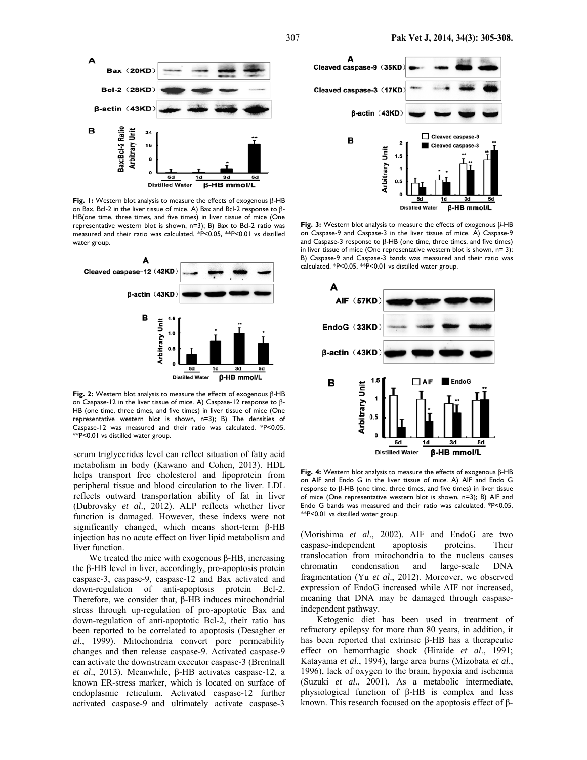

**Fig. 1:** Western blot analysis to measure the effects of exogenous β-HB on Bax, Bcl-2 in the liver tissue of mice. A) Bax and Bcl-2 response to β-HB(one time, three times, and five times) in liver tissue of mice (One representative western blot is shown, n=3); B) Bax to Bcl-2 ratio was measured and their ratio was calculated. \*P<0.05, \*\*P<0.01 vs distilled water group.



**Fig. 2:** Western blot analysis to measure the effects of exogenous β-HB on Caspase-12 in the liver tissue of mice. A) Caspase-12 response to β-HB (one time, three times, and five times) in liver tissue of mice (One representative western blot is shown, n=3); B) The densities of Caspase-12 was measured and their ratio was calculated. \*P<0.05, \*\*P<0.01 vs distilled water group.

serum triglycerides level can reflect situation of fatty acid metabolism in body (Kawano and Cohen, 2013). HDL helps transport free cholesterol and lipoprotein from peripheral tissue and blood circulation to the liver. LDL reflects outward transportation ability of fat in liver (Dubrovsky *et al*., 2012). ALP reflects whether liver function is damaged. However, these indexs were not significantly changed, which means short-term β-HB injection has no acute effect on liver lipid metabolism and liver function.

We treated the mice with exogenous  $β$ -HB, increasing the β-HB level in liver, accordingly, pro-apoptosis protein caspase-3, caspase-9, caspase-12 and Bax activated and down-regulation of anti-apoptosis protein Bcl-2. Therefore, we consider that, β-HB induces mitochondrial stress through up-regulation of pro-apoptotic Bax and down-regulation of anti-apoptotic Bcl-2, their ratio has been reported to be correlated to apoptosis (Desagher *et al*., 1999). Mitochondria convert pore permeability changes and then release caspase-9. Activated caspase-9 can activate the downstream executor caspase-3 (Brentnall *et al*., 2013). Meanwhile, β-HB activates caspase-12, a known ER-stress marker, which is located on surface of endoplasmic reticulum. Activated caspase-12 further activated caspase-9 and ultimately activate caspase-3



**Fig. 3:** Western blot analysis to measure the effects of exogenous β-HB on Caspase-9 and Caspase-3 in the liver tissue of mice. A) Caspase-9 and Caspase-3 response to β-HB (one time, three times, and five times) in liver tissue of mice (One representative western blot is shown, n= 3); B) Caspase-9 and Caspase-3 bands was measured and their ratio was calculated. \*P<0.05, \*\*P<0.01 vs distilled water group.



**Fig. 4:** Western blot analysis to measure the effects of exogenous β-HB on AIF and Endo G in the liver tissue of mice. A) AIF and Endo G response to β-HB (one time, three times, and five times) in liver tissue of mice (One representative western blot is shown, n=3); B) AIF and Endo G bands was measured and their ratio was calculated. \*P<0.05, \*\*P<0.01 vs distilled water group.

(Morishima *et al*., 2002). AIF and EndoG are two caspase-independent apoptosis proteins. Their translocation from mitochondria to the nucleus causes chromatin condensation and large-scale DNA fragmentation (Yu *et al*., 2012). Moreover, we observed expression of EndoG increased while AIF not increased, meaning that DNA may be damaged through caspaseindependent pathway.

Ketogenic diet has been used in treatment of refractory epilepsy for more than 80 years, in addition, it has been reported that extrinsic β-HB has a therapeutic effect on hemorrhagic shock (Hiraide *et al*., 1991; Katayama *et al*., 1994), large area burns (Mizobata *et al*., 1996), lack of oxygen to the brain, hypoxia and ischemia (Suzuki *et al.*, 2001). As a metabolic intermediate, physiological function of β-HB is complex and less known. This research focused on the apoptosis effect of β-